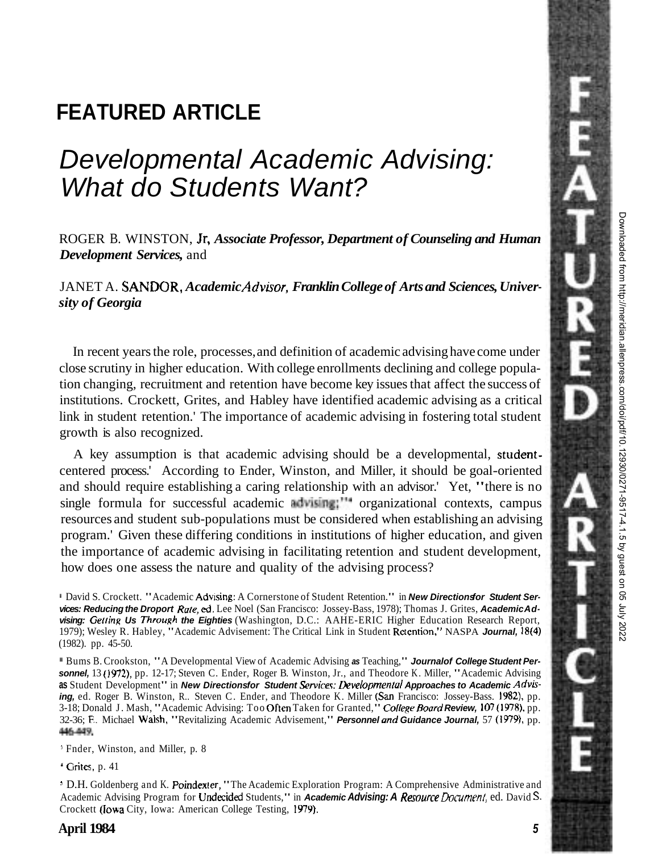# **FEATURED ARTICLE**

# Developmental Academic Advising: What do Students Want?

ROGER B. WINSTON, Jr, *Associate Professor, Department of Counseling and Human Development Services,* and

JANET A. SANDOR, *Academic Advisor, Franklin College of Arts and Sciences, University of Georgia* 

In recent years the role, processes, and definition of academic advising have come under close scrutiny in higher education. With college enrollments declining and college population changing, recruitment and retention have become key issues that affect the success of institutions. Crockett, Grites, and Habley have identified academic advising as a critical link in student retention.' The importance of academic advising in fostering total student growth is also recognized.

A key assumption is that academic advising should be a developmental, studentcentered process.' According to Ender, Winston, and Miller, it should be goal-oriented and should require establishing a caring relationship with an advisor.' Yet, "there is no single formula for successful academic  $\frac{1}{2}$  advising;"<sup>44</sup> organizational contexts, campus resources and student sub-populations must be considered when establishing an advising program.' Given these differing conditions in institutions of higher education, and given the importance of academic advising in facilitating retention and student development, how does one assess the nature and quality of the advising process?

<sup>1</sup> David S. Crockett. "Academic Advising: A Cornerstone of Student Retention." in **New Directions or Student Services: Reducing the Droport Rute, ed.** Lee Noel (San Francisco: Jossey-Bass, 1978); Thomas J. Grites, **Academic Ad**vising: Getting Us Through the Eighties (Washington, D.C.: AAHE-ERIC Higher Education Research Report, 1979); Wesley R. Habley, "Academic Advisement: The Critical Link in Student Rctention," NASPA **Journal,** 1814) (1982). pp. 45-50.

Bums B. Crookston, "A Developmental View of Academic Advising **as** Teaching," **Journalof College Student Personnel,** 13 **(1972),** pp. 12-17; Steven C. Ender, Roger B. Winston, Jr., and Theodore K. Miller, "Academic Advising as Student Development" in New Directionsfor Student Services: Developmental Approaches to Academic Advis**ing,** ed. Roger B. Winston, R.. Steven C. Ender, and Theodore K. Miller (San Francisco: Jossey-Bass. 1982), pp. 3-18; Donald J. Mash, "Academic Advising: Too Often Taken for Granted," College Board Review, 107 (1978), pp. 32-36; F. Michael Walsh, "Revitalizing Academic Advisement," **Personnel and Guidance Journal**, 57 (1979), pp. 446-449.

' Fnder, Winston, and Miller, p. 8

' Grites. p. 41

' D.H. Goldenberg and K. Poindexter, "The Academic Exploration Program: A Comprehensive Administrative and Academic Advising Program for **Undecided Students," in Academic Advising: A Resource Document, ed. David S.** Crockett (Iowa City, Iowa: American College Testing, 1979).

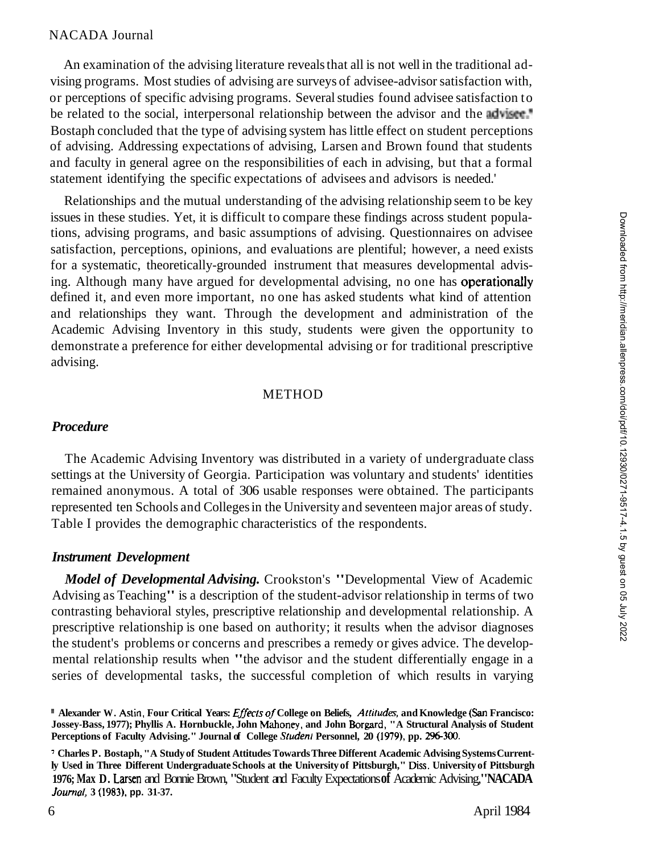An examination of the advising literature reveals that all is not well in the traditional advising programs. Most studies of advising are surveys of advisee-advisor satisfaction with, or perceptions of specific advising programs. Several studies found advisee satisfaction to be related to the social, interpersonal relationship between the advisor and the adviser.<sup>\*</sup> Bostaph concluded that the type of advising system has little effect on student perceptions of advising. Addressing expectations of advising, Larsen and Brown found that students and faculty in general agree on the responsibilities of each in advising, but that a formal statement identifying the specific expectations of advisees and advisors is needed.'

Relationships and the mutual understanding of the advising relationship seem to be key issues in these studies. Yet, it is difficult to compare these findings across student populations, advising programs, and basic assumptions of advising. Questionnaires on advisee satisfaction, perceptions, opinions, and evaluations are plentiful; however, a need exists for a systematic, theoretically-grounded instrument that measures developmental advising. Although many have argued for developmental advising, no one has operationally defined it, and even more important, no one has asked students what kind of attention and relationships they want. Through the development and administration of the Academic Advising Inventory in this study, students were given the opportunity to demonstrate a preference for either developmental advising or for traditional prescriptive advising.

#### **METHOD**

### *Procedure*

The Academic Advising Inventory was distributed in a variety of undergraduate class settings at the University of Georgia. Participation was voluntary and students' identities remained anonymous. A total of 306 usable responses were obtained. The participants represented ten Schools and Colleges in the University and seventeen major areas of study. Table I provides the demographic characteristics of the respondents.

#### *Instrument Development*

*Model of Developmental Advising.* Crookston's "Developmental View of Academic Advising as Teaching" is a description of the student-advisor relationship in terms of two contrasting behavioral styles, prescriptive relationship and developmental relationship. A prescriptive relationship is one based on authority; it results when the advisor diagnoses the student's problems or concerns and prescribes a remedy or gives advice. The developmental relationship results when "the advisor and the student differentially engage in a series of developmental tasks, the successful completion of which results in varying

**Alexander W. Astin, Four Critical Years: Effects of College on Beliefs, Attitudes, and Knowledge (San Francisco: Jossey-Bass, 1977); Phyllis A. Hornbuckle, John Mahoney, and John Borgard, "A Structural Analysis of Student**  Perceptions of Faculty Advising." Journal of College Student Personnel, 20 (1979), pp. 296-300.

<sup>&#</sup>x27; **Charles P. Bostaph, "A Study of Student Attitudes Towards Three Different Academic Advising Systems Currently Used in Three Different Undergraduate Schools at the University of Pittsburgh," Diss. University of Pittsburgh 1976; Max D.** Larsen and Bonnie Brown, "Student and Faculty Expectations **of** Academic Advising," **NACADA Journol, 3 (1983). pp. 31-37.**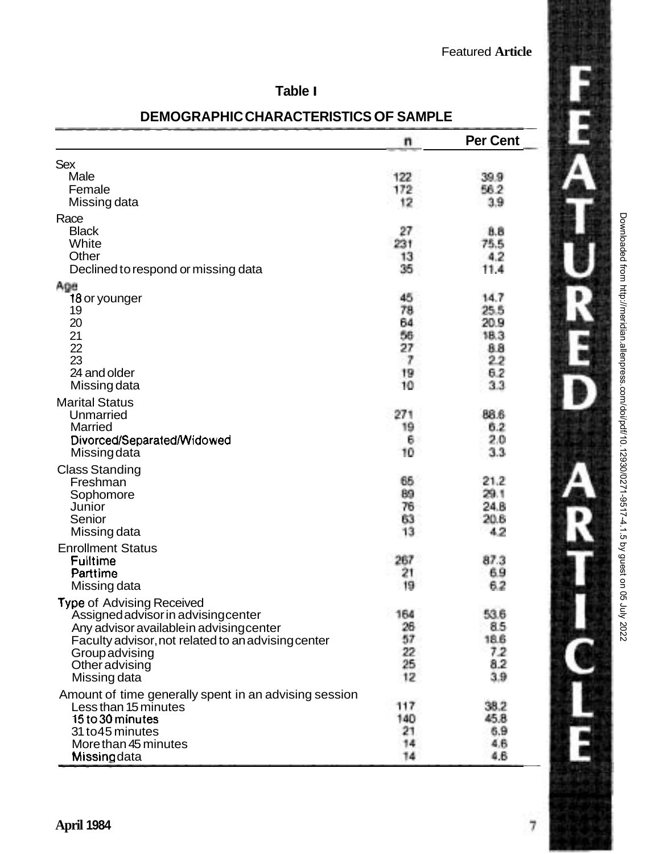# **Table I**

|                                                       | n        | <b>Per Cent</b> |
|-------------------------------------------------------|----------|-----------------|
| Sex                                                   |          |                 |
| Male                                                  | 122      | 39.9            |
| Female                                                | 172      | 56.2            |
| Missing data                                          | 12       | 3.9             |
| Race                                                  |          |                 |
| <b>Black</b>                                          | 27       | 8.8             |
| White                                                 | 231      | 75.5            |
| Other                                                 | 13       | 4.2             |
| Declined to respond or missing data                   | 35       | 11.4            |
| Age                                                   |          |                 |
| 18 or younger                                         | 45       | 14.7            |
| 19                                                    | 78       | 25.5            |
| 20                                                    | 64       | 20.9            |
| 21                                                    | 56       | 18.3            |
| 22<br>23                                              | 27<br>7  | 88              |
| 24 and older                                          |          | 22              |
| Missing data                                          | 19<br>10 | 6.2<br>3.3      |
|                                                       |          |                 |
| <b>Marital Status</b><br>Unmarried                    | 271      | 88.6            |
| Married                                               | 19       | 6.2             |
| Divorced/Separated/Widowed                            | 6        | 2.0             |
| Missingdata                                           | 10       | 3.3             |
| <b>Class Standing</b>                                 |          |                 |
| Freshman                                              | 65       | 21.2            |
| Sophomore                                             | 89       | 29.1            |
| Junior                                                | 76       | 24.B            |
| Senior                                                | 63       | 20.6            |
| Missing data                                          | 13       | 4.2             |
| <b>Enrollment Status</b>                              |          |                 |
| Fulltime                                              | 267      | 87.3            |
| Parttime                                              | 21       | 69              |
| Missing data                                          | 19       | 6.2             |
| Type of Advising Received                             |          |                 |
| Assigned advisor in advising center                   | 164      | 53.6            |
| Any advisor available in advising center              | 26       | 8.5             |
| Faculty advisor, not related to an advising center    | 57       | 18.6            |
| Group advising                                        | 22       | 7.2             |
| Other advising                                        | 25       | 8.2             |
| Missing data                                          | 12       | 3.9             |
| Amount of time generally spent in an advising session |          |                 |
| Less than 15 minutes                                  | 117      | 38.2            |
| 15 to 30 minutes                                      | 140      | 45.8            |
| 31 to45 minutes                                       | 21       | 6.9             |
| More than 45 minutes                                  | 14       | 4.6             |
| Missing data                                          | 14       | 4.6             |

## **DEMOGRAPHIC CHARACTERISTICS OF SAMPLE**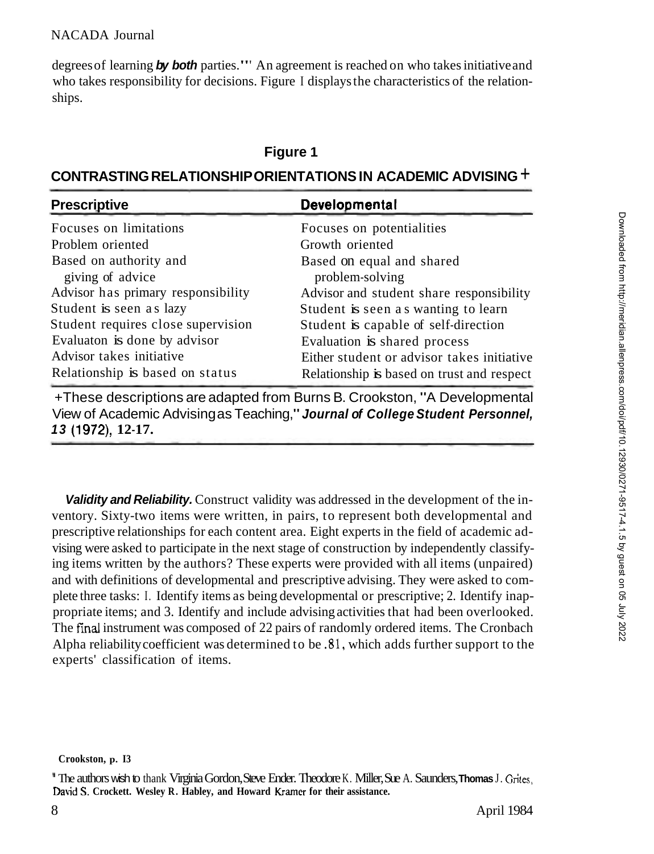degrees of learning **by both** parties."' An agreement is reached on who takes initiative and who takes responsibility for decisions. Figure I displays the characteristics of the relationships.

# **Figure 1**

# **CONTRASTING RELATIONSHIP ORIENTATIONS IN ACADEMIC ADVISING** +

| <b>Prescriptive</b>                | Developmental                              |
|------------------------------------|--------------------------------------------|
| Focuses on limitations             | Focuses on potentialities                  |
| Problem oriented                   | Growth oriented                            |
| Based on authority and             | Based on equal and shared                  |
| giving of advice                   | problem-solving                            |
| Advisor has primary responsibility | Advisor and student share responsibility   |
| Student is seen as lazy            | Student is seen as wanting to learn        |
| Student requires close supervision | Student is capable of self-direction       |
| Evaluaton is done by advisor       | Evaluation is shared process               |
| Advisor takes initiative           | Either student or advisor takes initiative |
| Relationship is based on status    | Relationship is based on trust and respect |

+These descriptions are adapted from Burns B. Crookston, "A Developmental View of Academic Advising as Teaching," **Journal of College Student Personnel, 13 (1972), 12-17.** 

**Validity and Reliability.** Construct validity was addressed in the development of the inventory. Sixty-two items were written, in pairs, to represent both developmental and prescriptive relationships for each content area. Eight experts in the field of academic advising were asked to participate in the next stage of construction by independently classifying items written by the authors? These experts were provided with all items (unpaired) and with definitions of developmental and prescriptive advising. They were asked to complete three tasks: I. Identify items as being developmental or prescriptive; 2. Identify inappropriate items; and 3. Identify and include advising activities that had been overlooked. The fmal instrument was composed of 22 pairs of randomly ordered items. The Cronbach Alpha reliability coefficient was determined to be **.81,** which adds further support to the experts' classification of items.

" The authors wish to thank Virginia Gordon, Steve Ender. Theodore K. Miller, Sue A. Saunders, **Thomas** J. **Grites,**  David S. Crockett. Wesley R. Habley, and Howard Kramer for their assistance.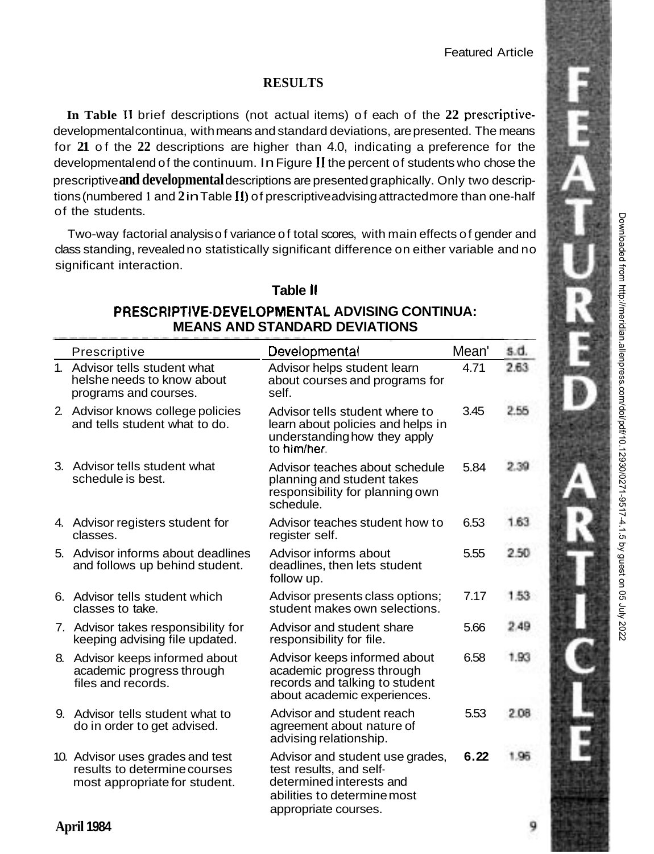# **RESULTS**

**In Table I1** brief descriptions (not actual items) of each of the **22** prescriptivedevelopmental continua, with means and standard deviations, are presented. The means for **21** of the **22** descriptions are higher than 4.0, indicating a preference for the developmental end of the continuum. In Figure II the percent of students who chose the prescriptive **and developmental** descriptions are presented graphically. Only two descriptions (numbered **1** and **2** in Table **11)** of prescriptive advising attracted more than one-half of the students.

Two-way factorial analysis of variance of total scores, with main effects of gender and class standing, revealed no statistically significant difference on either variable and no significant interaction.

### **Table II**

### **PRESCRIPTIVE.DEVEL0PMENTAL ADVISING CONTINUA: MEANS AND STANDARD DEVIATIONS**

| Prescriptive                                                                                      | Developmental                                                                                                                                 | Mean' | s.d. |
|---------------------------------------------------------------------------------------------------|-----------------------------------------------------------------------------------------------------------------------------------------------|-------|------|
| 1. Advisor tells student what<br>helshe needs to know about<br>programs and courses.              | Advisor helps student learn<br>about courses and programs for<br>self.                                                                        | 4.71  | 2.63 |
| 2. Advisor knows college policies<br>and tells student what to do.                                | Advisor tells student where to<br>learn about policies and helps in<br>understanding how they apply<br>to him/her.                            | 3.45  | 2.55 |
| 3. Advisor tells student what<br>schedule is best.                                                | Advisor teaches about schedule<br>planning and student takes<br>responsibility for planning own<br>schedule.                                  | 5.84  | 2.39 |
| 4. Advisor registers student for<br>classes.                                                      | Advisor teaches student how to<br>register self.                                                                                              | 6.53  | 1.63 |
| 5. Advisor informs about deadlines<br>and follows up behind student.                              | Advisor informs about<br>deadlines, then lets student<br>follow up.                                                                           | 5.55  | 2.50 |
| 6. Advisor tells student which<br>classes to take.                                                | Advisor presents class options:<br>student makes own selections.                                                                              | 7.17  | 1.53 |
| 7. Advisor takes responsibility for<br>keeping advising file updated.                             | Advisor and student share<br>responsibility for file.                                                                                         | 5.66  | 2.49 |
| 8. Advisor keeps informed about<br>academic progress through<br>files and records.                | Advisor keeps informed about<br>academic progress through<br>records and talking to student<br>about academic experiences.                    | 6.58  | 1.93 |
| 9. Advisor tells student what to<br>do in order to get advised.                                   | Advisor and student reach<br>agreement about nature of<br>advising relationship.                                                              | 5.53  | 2.08 |
| 10. Advisor uses grades and test<br>results to determine courses<br>most appropriate for student. | Advisor and student use grades,<br>test results, and self-<br>determined interests and<br>abilities to determine most<br>appropriate courses. | 6.22  | 1.95 |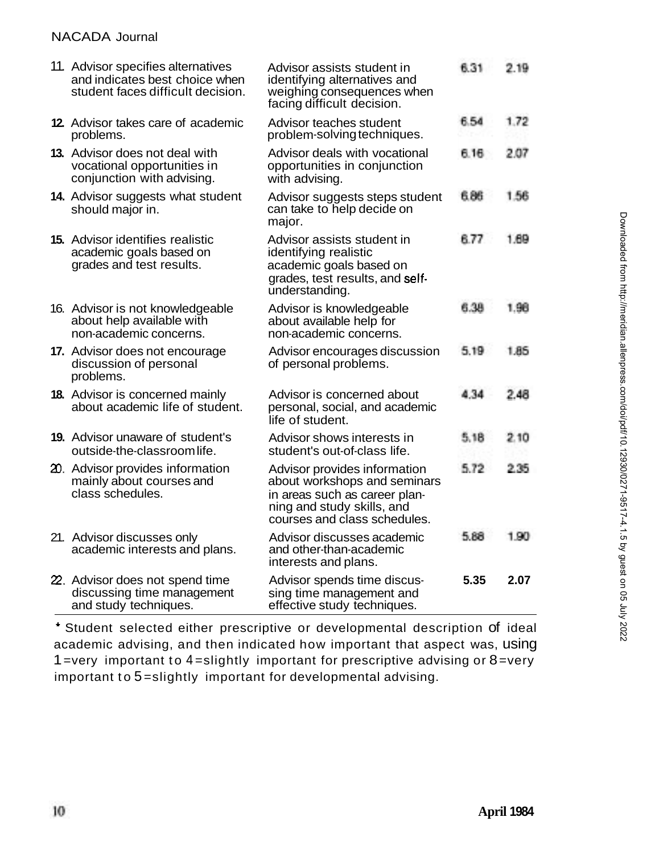#### NACADA Journal

| 11. Advisor specifies alternatives<br>and indicates best choice when<br>student faces difficult decision. | Advisor assists student in<br>identifying alternatives and<br>weighing consequences when<br>facing difficult decision.                                      | 6.31 | 2.19 |
|-----------------------------------------------------------------------------------------------------------|-------------------------------------------------------------------------------------------------------------------------------------------------------------|------|------|
| <b>12.</b> Advisor takes care of academic<br>problems.                                                    | Advisor teaches student<br>problem-solving techniques.                                                                                                      | 6.54 | 1.72 |
| 13. Advisor does not deal with<br>vocational opportunities in<br>conjunction with advising.               | Advisor deals with vocational<br>opportunities in conjunction<br>with advising.                                                                             | 6.16 | 2.07 |
| 14. Advisor suggests what student<br>should major in.                                                     | Advisor suggests steps student<br>can take to help decide on<br>major.                                                                                      | 6.86 | 1.56 |
| <b>15.</b> Advisor identifies realistic<br>academic goals based on<br>grades and test results.            | Advisor assists student in<br>identifying realistic<br>academic goals based on<br>grades, test results, and self-<br>understanding.                         | 6.77 | 1.69 |
| 16. Advisor is not knowledgeable<br>about help available with<br>non-academic concerns.                   | Advisor is knowledgeable<br>about available help for<br>non-academic concerns.                                                                              | 6.38 | 1.98 |
| 17. Advisor does not encourage<br>discussion of personal<br>problems.                                     | Advisor encourages discussion<br>of personal problems.                                                                                                      | 5.19 | 1.85 |
| <b>18.</b> Advisor is concerned mainly<br>about academic life of student.                                 | Advisor is concerned about<br>personal, social, and academic<br>life of student.                                                                            | 4.34 | 2.48 |
| <b>19.</b> Advisor unaware of student's<br>outside-the-classroom life.                                    | Advisor shows interests in<br>student's out-of-class life.                                                                                                  | 5.18 | 2.10 |
| 20. Advisor provides information<br>mainly about courses and<br>class schedules.                          | Advisor provides information<br>about workshops and seminars<br>in areas such as career plan-<br>ning and study skills, and<br>courses and class schedules. | 5.72 | 2.35 |
| 21. Advisor discusses only<br>academic interests and plans.                                               | Advisor discusses academic<br>and other-than-academic<br>interests and plans.                                                                               | 5.88 | 190  |
| 22. Advisor does not spend time<br>discussing time management<br>and study techniques.                    | Advisor spends time discus-<br>sing time management and<br>effective study techniques.                                                                      | 5.35 | 2.07 |

' Student selected either prescriptive or developmental description of ideal academic advising, and then indicated how important that aspect was, using 1=very important to 4=slightly important for prescriptive advising or  $8$ =very important to 5 =slightly important for developmental advising.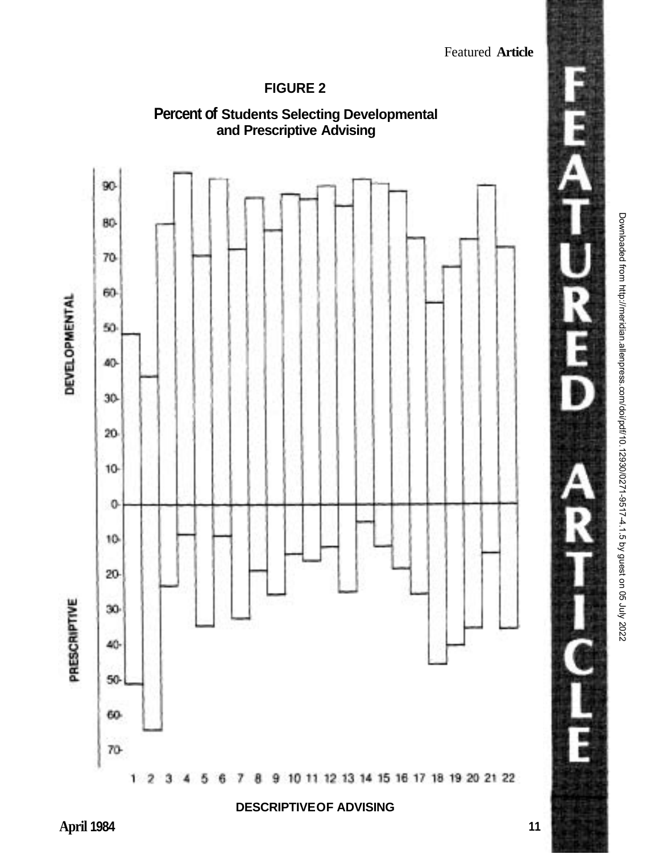Featured **Article** 

# **FIGURE 2**



山上国 **11**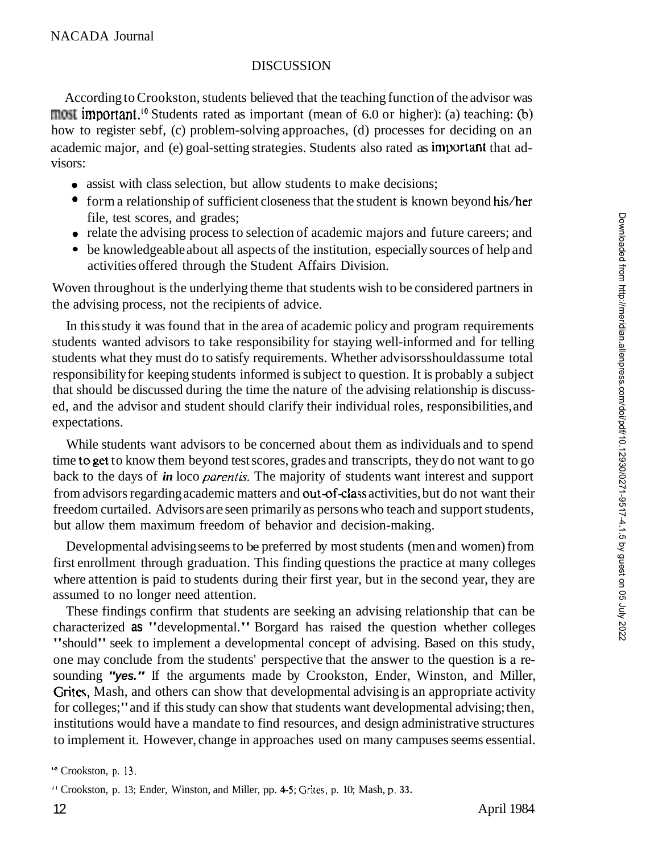### **DISCUSSION**

According to Crookston, students believed that the teaching function of the advisor was  $\overline{\text{most}}$  important.<sup>10</sup> Students rated as important (mean of 6.0 or higher): (a) teaching: (b) how to register sebf, (c) problem-solving approaches, (d) processes for deciding on an academic major, and (e) goal-setting strategies. Students also rated as important that advisors:

- assist with class selection, but allow students to make decisions;
- $\bullet$  form a relationship of sufficient closeness that the student is known beyond his/her file, test scores, and grades;
- relate the advising process to selection of academic majors and future careers; and
- be knowledgeable about all aspects of the institution, especially sources of help and activities offered through the Student Affairs Division.

Woven throughout is the underlying theme that students wish to be considered partners in the advising process, not the recipients of advice.

In this study it was found that in the area of academic policy and program requirements students wanted advisors to take responsibility for staying well-informed and for telling students what they must do to satisfy requirements. Whether advisorsshouldassume total responsibility for keeping students informed is subject to question. It is probably a subject that should be discussed during the time the nature of the advising relationship is discussed, and the advisor and student should clarify their individual roles, responsibilities, and expectations.

While students want advisors to be concerned about them as individuals and to spend time to get to know them beyond test scores, grades and transcripts, they do not want to go back to the days of *in* loco *parentis.* The majority of students want interest and support from advisors regarding academic matters and out-of-class activities, but do not want their freedom curtailed. Advisors are seen primarily as persons who teach and support students, but allow them maximum freedom of behavior and decision-making.

Developmental advising seems to be preferred by most students (men and women) from first enrollment through graduation. This finding questions the practice at many colleges where attention is paid to students during their first year, but in the second year, they are assumed to no longer need attention.

These findings confirm that students are seeking an advising relationship that can be characterized **as** "developmental." Borgard has raised the question whether colleges "should" seek to implement a developmental concept of advising. Based on this study, one may conclude from the students' perspective that the answer to the question is a resounding **"yes."** If the arguments made by Crookston, Ender, Winston, and Miller, Grites, Mash, and others can show that developmental advising is an appropriate activity for colleges;" and if this study can show that students want developmental advising; then, institutions would have a mandate to find resources, and design administrative structures to implement it. However, change in approaches used on many campuses seems essential.

<sup>&#</sup>x27;" Crookston, p. 13.

<sup>&</sup>quot; Crookston, p. 13; Ender, Winston, and Miller, pp. **4-5; Grites,** p. 10; Mash, **p. 33.**